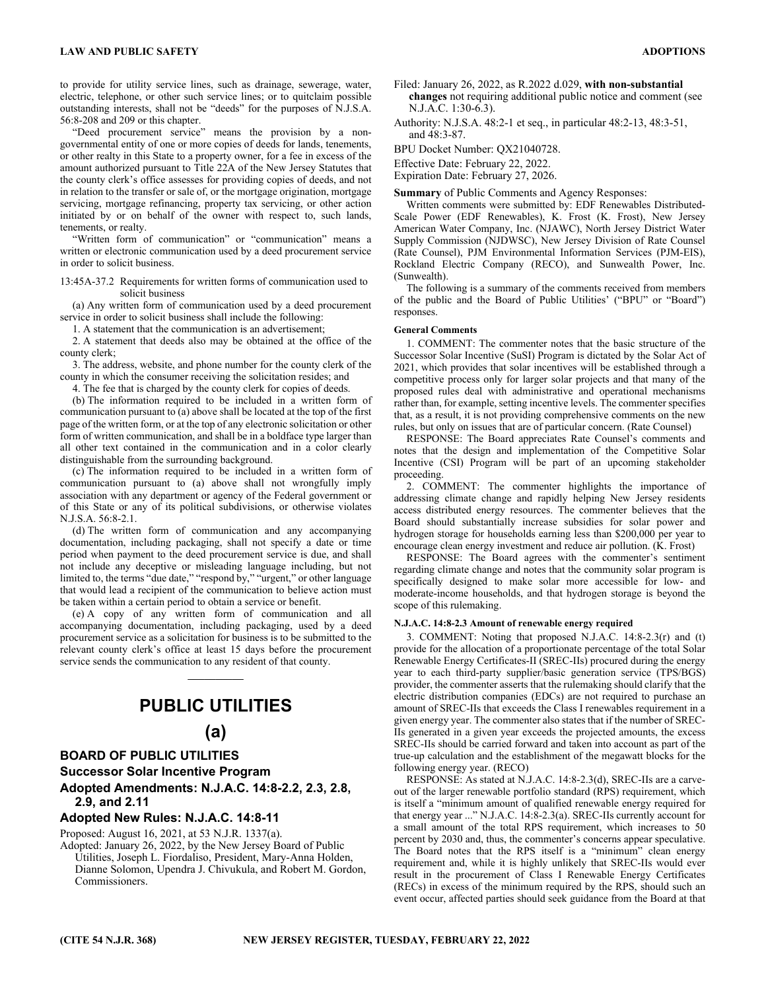to provide for utility service lines, such as drainage, sewerage, water, electric, telephone, or other such service lines; or to quitclaim possible outstanding interests, shall not be "deeds" for the purposes of N.J.S.A. 56:8-208 and 209 or this chapter.

"Deed procurement service" means the provision by a nongovernmental entity of one or more copies of deeds for lands, tenements, or other realty in this State to a property owner, for a fee in excess of the amount authorized pursuant to Title 22A of the New Jersey Statutes that the county clerk's office assesses for providing copies of deeds, and not in relation to the transfer or sale of, or the mortgage origination, mortgage servicing, mortgage refinancing, property tax servicing, or other action initiated by or on behalf of the owner with respect to, such lands, tenements, or realty.

"Written form of communication" or "communication" means a written or electronic communication used by a deed procurement service in order to solicit business.

13:45A-37.2 Requirements for written forms of communication used to solicit business

(a) Any written form of communication used by a deed procurement service in order to solicit business shall include the following:

1. A statement that the communication is an advertisement;

2. A statement that deeds also may be obtained at the office of the county clerk;

3. The address, website, and phone number for the county clerk of the county in which the consumer receiving the solicitation resides; and

4. The fee that is charged by the county clerk for copies of deeds.

(b) The information required to be included in a written form of communication pursuant to (a) above shall be located at the top of the first page of the written form, or at the top of any electronic solicitation or other form of written communication, and shall be in a boldface type larger than all other text contained in the communication and in a color clearly distinguishable from the surrounding background.

(c) The information required to be included in a written form of communication pursuant to (a) above shall not wrongfully imply association with any department or agency of the Federal government or of this State or any of its political subdivisions, or otherwise violates N.J.S.A. 56:8-2.1.

(d) The written form of communication and any accompanying documentation, including packaging, shall not specify a date or time period when payment to the deed procurement service is due, and shall not include any deceptive or misleading language including, but not limited to, the terms "due date," "respond by," "urgent," or other language that would lead a recipient of the communication to believe action must be taken within a certain period to obtain a service or benefit.

(e) A copy of any written form of communication and all accompanying documentation, including packaging, used by a deed procurement service as a solicitation for business is to be submitted to the relevant county clerk's office at least 15 days before the procurement service sends the communication to any resident of that county.

 $\mathcal{L}=\mathcal{L}$ 

## **PUBLIC UTILITIES**

## **(a)**

## **BOARD OF PUBLIC UTILITIES**

**Successor Solar Incentive Program** 

**Adopted Amendments: N.J.A.C. 14:8-2.2, 2.3, 2.8, 2.9, and 2.11** 

## **Adopted New Rules: N.J.A.C. 14:8-11**

Proposed: August 16, 2021, at 53 N.J.R. 1337(a).

Adopted: January 26, 2022, by the New Jersey Board of Public Utilities, Joseph L. Fiordaliso, President, Mary-Anna Holden, Dianne Solomon, Upendra J. Chivukula, and Robert M. Gordon, Commissioners.

**changes** not requiring additional public notice and comment (see N.J.A.C. 1:30-6.3).

Authority: N.J.S.A. 48:2-1 et seq., in particular 48:2-13, 48:3-51, and 48:3-87.

BPU Docket Number: QX21040728.

Effective Date: February 22, 2022.

Expiration Date: February 27, 2026.

**Summary** of Public Comments and Agency Responses:

Written comments were submitted by: EDF Renewables Distributed-Scale Power (EDF Renewables), K. Frost (K. Frost), New Jersey American Water Company, Inc. (NJAWC), North Jersey District Water Supply Commission (NJDWSC), New Jersey Division of Rate Counsel (Rate Counsel), PJM Environmental Information Services (PJM-EIS), Rockland Electric Company (RECO), and Sunwealth Power, Inc. (Sunwealth).

The following is a summary of the comments received from members of the public and the Board of Public Utilities' ("BPU" or "Board") responses.

## **General Comments**

1. COMMENT: The commenter notes that the basic structure of the Successor Solar Incentive (SuSI) Program is dictated by the Solar Act of 2021, which provides that solar incentives will be established through a competitive process only for larger solar projects and that many of the proposed rules deal with administrative and operational mechanisms rather than, for example, setting incentive levels. The commenter specifies that, as a result, it is not providing comprehensive comments on the new rules, but only on issues that are of particular concern. (Rate Counsel)

RESPONSE: The Board appreciates Rate Counsel's comments and notes that the design and implementation of the Competitive Solar Incentive (CSI) Program will be part of an upcoming stakeholder proceeding.

2. COMMENT: The commenter highlights the importance of addressing climate change and rapidly helping New Jersey residents access distributed energy resources. The commenter believes that the Board should substantially increase subsidies for solar power and hydrogen storage for households earning less than \$200,000 per year to encourage clean energy investment and reduce air pollution. (K. Frost)

RESPONSE: The Board agrees with the commenter's sentiment regarding climate change and notes that the community solar program is specifically designed to make solar more accessible for low- and moderate-income households, and that hydrogen storage is beyond the scope of this rulemaking.

#### **N.J.A.C. 14:8-2.3 Amount of renewable energy required**

3. COMMENT: Noting that proposed N.J.A.C. 14:8-2.3(r) and (t) provide for the allocation of a proportionate percentage of the total Solar Renewable Energy Certificates-II (SREC-IIs) procured during the energy year to each third-party supplier/basic generation service (TPS/BGS) provider, the commenter asserts that the rulemaking should clarify that the electric distribution companies (EDCs) are not required to purchase an amount of SREC-IIs that exceeds the Class I renewables requirement in a given energy year. The commenter also states that if the number of SREC-IIs generated in a given year exceeds the projected amounts, the excess SREC-IIs should be carried forward and taken into account as part of the true-up calculation and the establishment of the megawatt blocks for the following energy year. (RECO)

RESPONSE: As stated at N.J.A.C. 14:8-2.3(d), SREC-IIs are a carveout of the larger renewable portfolio standard (RPS) requirement, which is itself a "minimum amount of qualified renewable energy required for that energy year ..." N.J.A.C. 14:8-2.3(a). SREC-IIs currently account for a small amount of the total RPS requirement, which increases to 50 percent by 2030 and, thus, the commenter's concerns appear speculative. The Board notes that the RPS itself is a "minimum" clean energy requirement and, while it is highly unlikely that SREC-IIs would ever result in the procurement of Class I Renewable Energy Certificates (RECs) in excess of the minimum required by the RPS, should such an event occur, affected parties should seek guidance from the Board at that

Filed: January 26, 2022, as R.2022 d.029, **with non-substantial**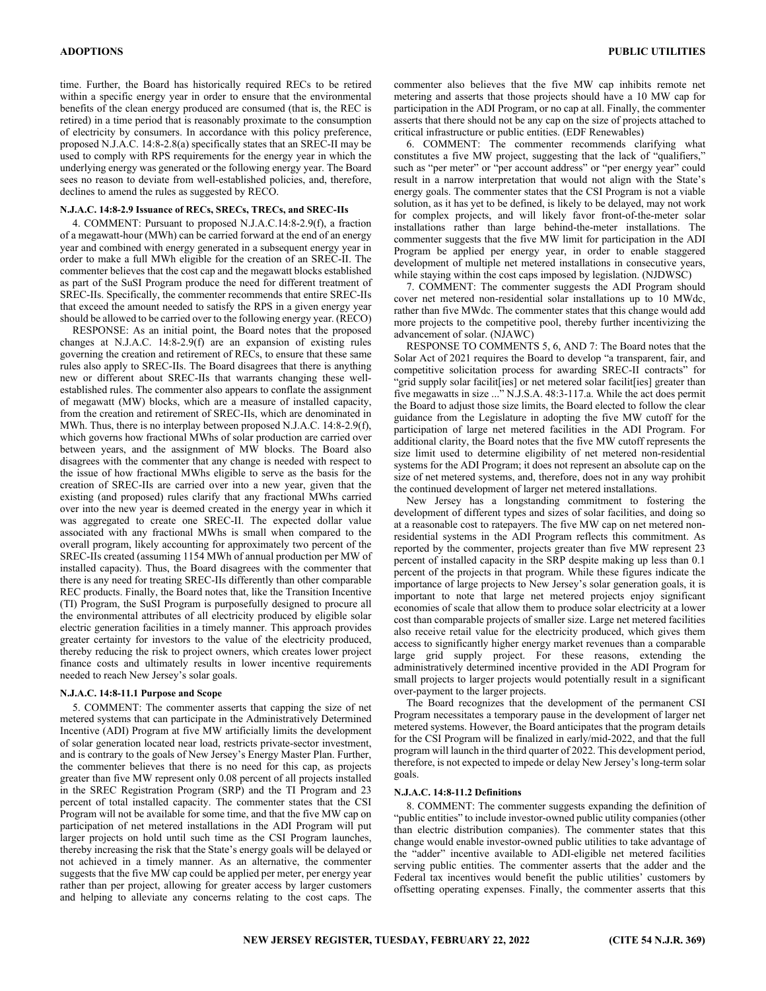time. Further, the Board has historically required RECs to be retired within a specific energy year in order to ensure that the environmental benefits of the clean energy produced are consumed (that is, the REC is retired) in a time period that is reasonably proximate to the consumption of electricity by consumers. In accordance with this policy preference, proposed N.J.A.C. 14:8-2.8(a) specifically states that an SREC-II may be used to comply with RPS requirements for the energy year in which the underlying energy was generated or the following energy year. The Board sees no reason to deviate from well-established policies, and, therefore, declines to amend the rules as suggested by RECO.

#### **N.J.A.C. 14:8-2.9 Issuance of RECs, SRECs, TRECs, and SREC-IIs**

4. COMMENT: Pursuant to proposed N.J.A.C.14:8-2.9(f), a fraction of a megawatt-hour (MWh) can be carried forward at the end of an energy year and combined with energy generated in a subsequent energy year in order to make a full MWh eligible for the creation of an SREC-II. The commenter believes that the cost cap and the megawatt blocks established as part of the SuSI Program produce the need for different treatment of SREC-IIs. Specifically, the commenter recommends that entire SREC-IIs that exceed the amount needed to satisfy the RPS in a given energy year should be allowed to be carried over to the following energy year. (RECO)

RESPONSE: As an initial point, the Board notes that the proposed changes at N.J.A.C. 14:8-2.9(f) are an expansion of existing rules governing the creation and retirement of RECs, to ensure that these same rules also apply to SREC-IIs. The Board disagrees that there is anything new or different about SREC-IIs that warrants changing these wellestablished rules. The commenter also appears to conflate the assignment of megawatt (MW) blocks, which are a measure of installed capacity, from the creation and retirement of SREC-IIs, which are denominated in MWh. Thus, there is no interplay between proposed N.J.A.C. 14:8-2.9(f), which governs how fractional MWhs of solar production are carried over between years, and the assignment of MW blocks. The Board also disagrees with the commenter that any change is needed with respect to the issue of how fractional MWhs eligible to serve as the basis for the creation of SREC-IIs are carried over into a new year, given that the existing (and proposed) rules clarify that any fractional MWhs carried over into the new year is deemed created in the energy year in which it was aggregated to create one SREC-II. The expected dollar value associated with any fractional MWhs is small when compared to the overall program, likely accounting for approximately two percent of the SREC-IIs created (assuming 1154 MWh of annual production per MW of installed capacity). Thus, the Board disagrees with the commenter that there is any need for treating SREC-IIs differently than other comparable REC products. Finally, the Board notes that, like the Transition Incentive (TI) Program, the SuSI Program is purposefully designed to procure all the environmental attributes of all electricity produced by eligible solar electric generation facilities in a timely manner. This approach provides greater certainty for investors to the value of the electricity produced, thereby reducing the risk to project owners, which creates lower project finance costs and ultimately results in lower incentive requirements needed to reach New Jersey's solar goals.

#### **N.J.A.C. 14:8-11.1 Purpose and Scope**

5. COMMENT: The commenter asserts that capping the size of net metered systems that can participate in the Administratively Determined Incentive (ADI) Program at five MW artificially limits the development of solar generation located near load, restricts private-sector investment, and is contrary to the goals of New Jersey's Energy Master Plan. Further, the commenter believes that there is no need for this cap, as projects greater than five MW represent only 0.08 percent of all projects installed in the SREC Registration Program (SRP) and the TI Program and 23 percent of total installed capacity. The commenter states that the CSI Program will not be available for some time, and that the five MW cap on participation of net metered installations in the ADI Program will put larger projects on hold until such time as the CSI Program launches, thereby increasing the risk that the State's energy goals will be delayed or not achieved in a timely manner. As an alternative, the commenter suggests that the five MW cap could be applied per meter, per energy year rather than per project, allowing for greater access by larger customers and helping to alleviate any concerns relating to the cost caps. The

commenter also believes that the five MW cap inhibits remote net metering and asserts that those projects should have a 10 MW cap for participation in the ADI Program, or no cap at all. Finally, the commenter asserts that there should not be any cap on the size of projects attached to critical infrastructure or public entities. (EDF Renewables)

6. COMMENT: The commenter recommends clarifying what constitutes a five MW project, suggesting that the lack of "qualifiers," such as "per meter" or "per account address" or "per energy year" could result in a narrow interpretation that would not align with the State's energy goals. The commenter states that the CSI Program is not a viable solution, as it has yet to be defined, is likely to be delayed, may not work for complex projects, and will likely favor front-of-the-meter solar installations rather than large behind-the-meter installations. The commenter suggests that the five MW limit for participation in the ADI Program be applied per energy year, in order to enable staggered development of multiple net metered installations in consecutive years, while staying within the cost caps imposed by legislation. (NJDWSC)

7. COMMENT: The commenter suggests the ADI Program should cover net metered non-residential solar installations up to 10 MWdc, rather than five MWdc. The commenter states that this change would add more projects to the competitive pool, thereby further incentivizing the advancement of solar. (NJAWC)

RESPONSE TO COMMENTS 5, 6, AND 7: The Board notes that the Solar Act of 2021 requires the Board to develop "a transparent, fair, and competitive solicitation process for awarding SREC-II contracts" for "grid supply solar facilit[ies] or net metered solar facilit[ies] greater than five megawatts in size ..." N.J.S.A. 48:3-117.a. While the act does permit the Board to adjust those size limits, the Board elected to follow the clear guidance from the Legislature in adopting the five MW cutoff for the participation of large net metered facilities in the ADI Program. For additional clarity, the Board notes that the five MW cutoff represents the size limit used to determine eligibility of net metered non-residential systems for the ADI Program; it does not represent an absolute cap on the size of net metered systems, and, therefore, does not in any way prohibit the continued development of larger net metered installations.

New Jersey has a longstanding commitment to fostering the development of different types and sizes of solar facilities, and doing so at a reasonable cost to ratepayers. The five MW cap on net metered nonresidential systems in the ADI Program reflects this commitment. As reported by the commenter, projects greater than five MW represent 23 percent of installed capacity in the SRP despite making up less than 0.1 percent of the projects in that program. While these figures indicate the importance of large projects to New Jersey's solar generation goals, it is important to note that large net metered projects enjoy significant economies of scale that allow them to produce solar electricity at a lower cost than comparable projects of smaller size. Large net metered facilities also receive retail value for the electricity produced, which gives them access to significantly higher energy market revenues than a comparable large grid supply project. For these reasons, extending the administratively determined incentive provided in the ADI Program for small projects to larger projects would potentially result in a significant over-payment to the larger projects.

The Board recognizes that the development of the permanent CSI Program necessitates a temporary pause in the development of larger net metered systems. However, the Board anticipates that the program details for the CSI Program will be finalized in early/mid-2022, and that the full program will launch in the third quarter of 2022. This development period, therefore, is not expected to impede or delay New Jersey's long-term solar goals.

#### **N.J.A.C. 14:8-11.2 Definitions**

8. COMMENT: The commenter suggests expanding the definition of "public entities" to include investor-owned public utility companies (other than electric distribution companies). The commenter states that this change would enable investor-owned public utilities to take advantage of the "adder" incentive available to ADI-eligible net metered facilities serving public entities. The commenter asserts that the adder and the Federal tax incentives would benefit the public utilities' customers by offsetting operating expenses. Finally, the commenter asserts that this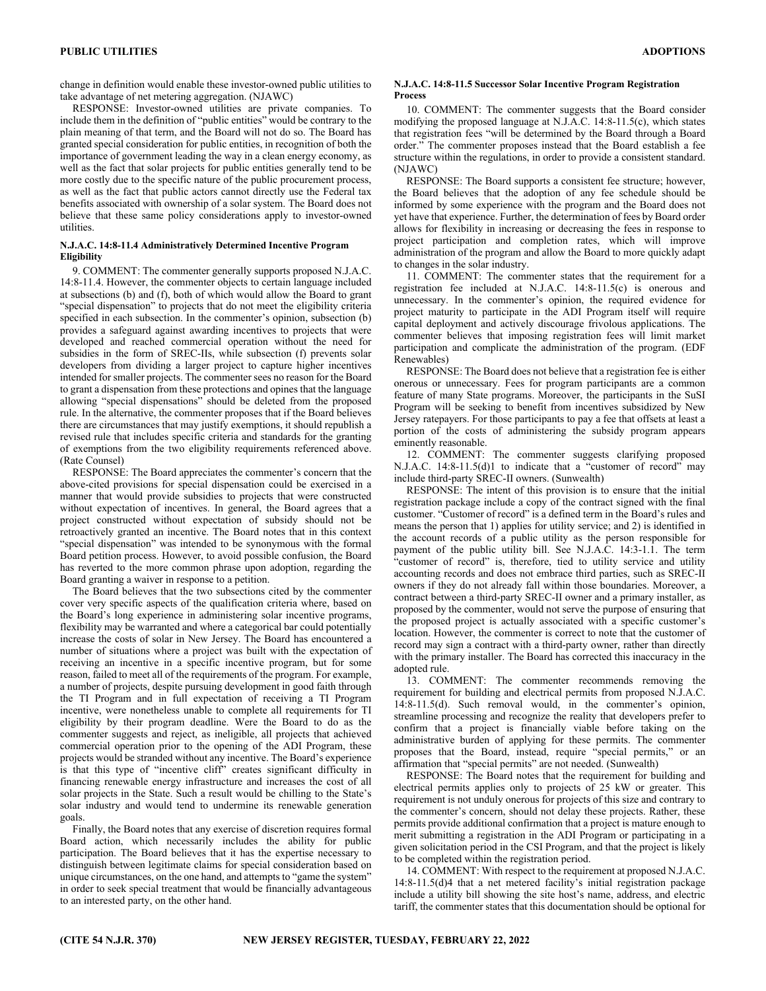change in definition would enable these investor-owned public utilities to take advantage of net metering aggregation. (NJAWC)

RESPONSE: Investor-owned utilities are private companies. To include them in the definition of "public entities" would be contrary to the plain meaning of that term, and the Board will not do so. The Board has granted special consideration for public entities, in recognition of both the importance of government leading the way in a clean energy economy, as well as the fact that solar projects for public entities generally tend to be more costly due to the specific nature of the public procurement process, as well as the fact that public actors cannot directly use the Federal tax benefits associated with ownership of a solar system. The Board does not believe that these same policy considerations apply to investor-owned utilities.

#### **N.J.A.C. 14:8-11.4 Administratively Determined Incentive Program Eligibility**

9. COMMENT: The commenter generally supports proposed N.J.A.C. 14:8-11.4. However, the commenter objects to certain language included at subsections (b) and (f), both of which would allow the Board to grant "special dispensation" to projects that do not meet the eligibility criteria specified in each subsection. In the commenter's opinion, subsection (b) provides a safeguard against awarding incentives to projects that were developed and reached commercial operation without the need for subsidies in the form of SREC-IIs, while subsection (f) prevents solar developers from dividing a larger project to capture higher incentives intended for smaller projects. The commenter sees no reason for the Board to grant a dispensation from these protections and opines that the language allowing "special dispensations" should be deleted from the proposed rule. In the alternative, the commenter proposes that if the Board believes there are circumstances that may justify exemptions, it should republish a revised rule that includes specific criteria and standards for the granting of exemptions from the two eligibility requirements referenced above. (Rate Counsel)

RESPONSE: The Board appreciates the commenter's concern that the above-cited provisions for special dispensation could be exercised in a manner that would provide subsidies to projects that were constructed without expectation of incentives. In general, the Board agrees that a project constructed without expectation of subsidy should not be retroactively granted an incentive. The Board notes that in this context "special dispensation" was intended to be synonymous with the formal Board petition process. However, to avoid possible confusion, the Board has reverted to the more common phrase upon adoption, regarding the Board granting a waiver in response to a petition.

The Board believes that the two subsections cited by the commenter cover very specific aspects of the qualification criteria where, based on the Board's long experience in administering solar incentive programs, flexibility may be warranted and where a categorical bar could potentially increase the costs of solar in New Jersey. The Board has encountered a number of situations where a project was built with the expectation of receiving an incentive in a specific incentive program, but for some reason, failed to meet all of the requirements of the program. For example, a number of projects, despite pursuing development in good faith through the TI Program and in full expectation of receiving a TI Program incentive, were nonetheless unable to complete all requirements for TI eligibility by their program deadline. Were the Board to do as the commenter suggests and reject, as ineligible, all projects that achieved commercial operation prior to the opening of the ADI Program, these projects would be stranded without any incentive. The Board's experience is that this type of "incentive cliff" creates significant difficulty in financing renewable energy infrastructure and increases the cost of all solar projects in the State. Such a result would be chilling to the State's solar industry and would tend to undermine its renewable generation goals.

Finally, the Board notes that any exercise of discretion requires formal Board action, which necessarily includes the ability for public participation. The Board believes that it has the expertise necessary to distinguish between legitimate claims for special consideration based on unique circumstances, on the one hand, and attempts to "game the system" in order to seek special treatment that would be financially advantageous to an interested party, on the other hand.

#### **N.J.A.C. 14:8-11.5 Successor Solar Incentive Program Registration Process**

10. COMMENT: The commenter suggests that the Board consider modifying the proposed language at N.J.A.C. 14:8-11.5(c), which states that registration fees "will be determined by the Board through a Board order." The commenter proposes instead that the Board establish a fee structure within the regulations, in order to provide a consistent standard. (NJAWC)

RESPONSE: The Board supports a consistent fee structure; however, the Board believes that the adoption of any fee schedule should be informed by some experience with the program and the Board does not yet have that experience. Further, the determination of fees by Board order allows for flexibility in increasing or decreasing the fees in response to project participation and completion rates, which will improve administration of the program and allow the Board to more quickly adapt to changes in the solar industry.

11. COMMENT: The commenter states that the requirement for a registration fee included at N.J.A.C. 14:8-11.5(c) is onerous and unnecessary. In the commenter's opinion, the required evidence for project maturity to participate in the ADI Program itself will require capital deployment and actively discourage frivolous applications. The commenter believes that imposing registration fees will limit market participation and complicate the administration of the program. (EDF Renewables)

RESPONSE: The Board does not believe that a registration fee is either onerous or unnecessary. Fees for program participants are a common feature of many State programs. Moreover, the participants in the SuSI Program will be seeking to benefit from incentives subsidized by New Jersey ratepayers. For those participants to pay a fee that offsets at least a portion of the costs of administering the subsidy program appears eminently reasonable.

12. COMMENT: The commenter suggests clarifying proposed N.J.A.C. 14:8-11.5(d)1 to indicate that a "customer of record" may include third-party SREC-II owners. (Sunwealth)

RESPONSE: The intent of this provision is to ensure that the initial registration package include a copy of the contract signed with the final customer. "Customer of record" is a defined term in the Board's rules and means the person that 1) applies for utility service; and 2) is identified in the account records of a public utility as the person responsible for payment of the public utility bill. See N.J.A.C. 14:3-1.1. The term "customer of record" is, therefore, tied to utility service and utility accounting records and does not embrace third parties, such as SREC-II owners if they do not already fall within those boundaries. Moreover, a contract between a third-party SREC-II owner and a primary installer, as proposed by the commenter, would not serve the purpose of ensuring that the proposed project is actually associated with a specific customer's location. However, the commenter is correct to note that the customer of record may sign a contract with a third-party owner, rather than directly with the primary installer. The Board has corrected this inaccuracy in the adopted rule.

13. COMMENT: The commenter recommends removing the requirement for building and electrical permits from proposed N.J.A.C. 14:8-11.5(d). Such removal would, in the commenter's opinion, streamline processing and recognize the reality that developers prefer to confirm that a project is financially viable before taking on the administrative burden of applying for these permits. The commenter proposes that the Board, instead, require "special permits," or an affirmation that "special permits" are not needed. (Sunwealth)

RESPONSE: The Board notes that the requirement for building and electrical permits applies only to projects of 25 kW or greater. This requirement is not unduly onerous for projects of this size and contrary to the commenter's concern, should not delay these projects. Rather, these permits provide additional confirmation that a project is mature enough to merit submitting a registration in the ADI Program or participating in a given solicitation period in the CSI Program, and that the project is likely to be completed within the registration period.

14. COMMENT: With respect to the requirement at proposed N.J.A.C. 14:8-11.5(d)4 that a net metered facility's initial registration package include a utility bill showing the site host's name, address, and electric tariff, the commenter states that this documentation should be optional for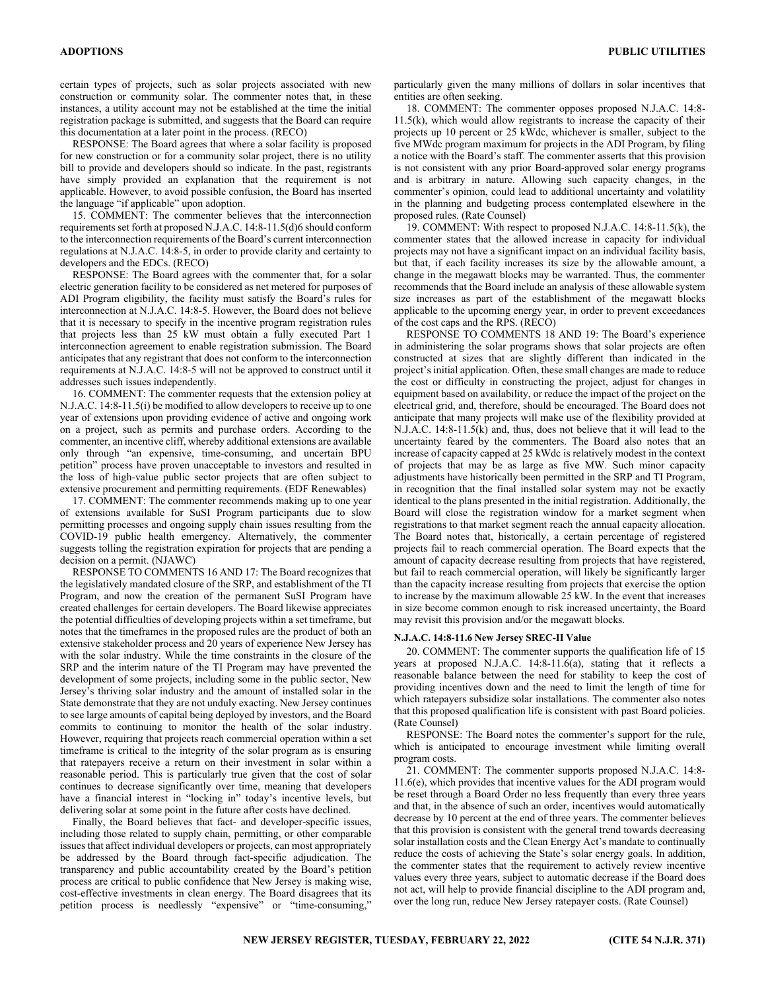certain types of projects, such as solar projects associated with new construction or community solar. The commenter notes that, in these instances, a utility account may not be established at the time the initial registration package is submitted, and suggests that the Board can require this documentation at a later point in the process. (RECO)

RESPONSE: The Board agrees that where a solar facility is proposed for new construction or for a community solar project, there is no utility bill to provide and developers should so indicate. In the past, registrants have simply provided an explanation that the requirement is not applicable. However, to avoid possible confusion, the Board has inserted the language "if applicable" upon adoption.

15. COMMENT: The commenter believes that the interconnection requirements set forth at proposed N.J.A.C. 14:8-11.5(d)6 should conform to the interconnection requirements of the Board's current interconnection regulations at N.J.A.C. 14:8-5, in order to provide clarity and certainty to developers and the EDCs. (RECO)

RESPONSE: The Board agrees with the commenter that, for a solar electric generation facility to be considered as net metered for purposes of ADI Program eligibility, the facility must satisfy the Board's rules for interconnection at N.J.A.C. 14:8-5. However, the Board does not believe that it is necessary to specify in the incentive program registration rules that projects less than 25 kW must obtain a fully executed Part 1 interconnection agreement to enable registration submission. The Board anticipates that any registrant that does not conform to the interconnection requirements at N.J.A.C. 14:8-5 will not be approved to construct until it addresses such issues independently.

16. COMMENT: The commenter requests that the extension policy at N.J.A.C. 14:8-11.5(i) be modified to allow developers to receive up to one year of extensions upon providing evidence of active and ongoing work on a project, such as permits and purchase orders. According to the commenter, an incentive cliff, whereby additional extensions are available only through "an expensive, time-consuming, and uncertain BPU petition" process have proven unacceptable to investors and resulted in the loss of high-value public sector projects that are often subject to extensive procurement and permitting requirements. (EDF Renewables)

17. COMMENT: The commenter recommends making up to one year of extensions available for SuSI Program participants due to slow permitting processes and ongoing supply chain issues resulting from the COVID-19 public health emergency. Alternatively, the commenter suggests tolling the registration expiration for projects that are pending a decision on a permit. (NJAWC)

RESPONSE TO COMMENTS 16 AND 17: The Board recognizes that the legislatively mandated closure of the SRP, and establishment of the TI Program, and now the creation of the permanent SuSI Program have created challenges for certain developers. The Board likewise appreciates the potential difficulties of developing projects within a set timeframe, but notes that the timeframes in the proposed rules are the product of both an extensive stakeholder process and 20 years of experience New Jersey has with the solar industry. While the time constraints in the closure of the SRP and the interim nature of the TI Program may have prevented the development of some projects, including some in the public sector, New Jersey's thriving solar industry and the amount of installed solar in the State demonstrate that they are not unduly exacting. New Jersey continues to see large amounts of capital being deployed by investors, and the Board commits to continuing to monitor the health of the solar industry. However, requiring that projects reach commercial operation within a set timeframe is critical to the integrity of the solar program as is ensuring that ratepayers receive a return on their investment in solar within a reasonable period. This is particularly true given that the cost of solar continues to decrease significantly over time, meaning that developers have a financial interest in "locking in" today's incentive levels, but delivering solar at some point in the future after costs have declined.

Finally, the Board believes that fact- and developer-specific issues, including those related to supply chain, permitting, or other comparable issues that affect individual developers or projects, can most appropriately be addressed by the Board through fact-specific adjudication. The transparency and public accountability created by the Board's petition process are critical to public confidence that New Jersey is making wise, cost-effective investments in clean energy. The Board disagrees that its petition process is needlessly "expensive" or "time-consuming,"

particularly given the many millions of dollars in solar incentives that entities are often seeking.

18. COMMENT: The commenter opposes proposed N.J.A.C. 14:8- 11.5(k), which would allow registrants to increase the capacity of their projects up 10 percent or 25 kWdc, whichever is smaller, subject to the five MWdc program maximum for projects in the ADI Program, by filing a notice with the Board's staff. The commenter asserts that this provision is not consistent with any prior Board-approved solar energy programs and is arbitrary in nature. Allowing such capacity changes, in the commenter's opinion, could lead to additional uncertainty and volatility in the planning and budgeting process contemplated elsewhere in the proposed rules. (Rate Counsel)

19. COMMENT: With respect to proposed N.J.A.C. 14:8-11.5(k), the commenter states that the allowed increase in capacity for individual projects may not have a significant impact on an individual facility basis, but that, if each facility increases its size by the allowable amount, a change in the megawatt blocks may be warranted. Thus, the commenter recommends that the Board include an analysis of these allowable system size increases as part of the establishment of the megawatt blocks applicable to the upcoming energy year, in order to prevent exceedances of the cost caps and the RPS. (RECO)

RESPONSE TO COMMENTS 18 AND 19: The Board's experience in administering the solar programs shows that solar projects are often constructed at sizes that are slightly different than indicated in the project's initial application. Often, these small changes are made to reduce the cost or difficulty in constructing the project, adjust for changes in equipment based on availability, or reduce the impact of the project on the electrical grid, and, therefore, should be encouraged. The Board does not anticipate that many projects will make use of the flexibility provided at N.J.A.C. 14:8-11.5(k) and, thus, does not believe that it will lead to the uncertainty feared by the commenters. The Board also notes that an increase of capacity capped at 25 kWdc is relatively modest in the context of projects that may be as large as five MW. Such minor capacity adjustments have historically been permitted in the SRP and TI Program, in recognition that the final installed solar system may not be exactly identical to the plans presented in the initial registration. Additionally, the Board will close the registration window for a market segment when registrations to that market segment reach the annual capacity allocation. The Board notes that, historically, a certain percentage of registered projects fail to reach commercial operation. The Board expects that the amount of capacity decrease resulting from projects that have registered, but fail to reach commercial operation, will likely be significantly larger than the capacity increase resulting from projects that exercise the option to increase by the maximum allowable 25 kW. In the event that increases in size become common enough to risk increased uncertainty, the Board may revisit this provision and/or the megawatt blocks.

#### **N.J.A.C. 14:8-11.6 New Jersey SREC-II Value**

20. COMMENT: The commenter supports the qualification life of 15 years at proposed N.J.A.C. 14:8-11.6(a), stating that it reflects a reasonable balance between the need for stability to keep the cost of providing incentives down and the need to limit the length of time for which ratepayers subsidize solar installations. The commenter also notes that this proposed qualification life is consistent with past Board policies. (Rate Counsel)

RESPONSE: The Board notes the commenter's support for the rule, which is anticipated to encourage investment while limiting overall program costs.

21. COMMENT: The commenter supports proposed N.J.A.C. 14:8- 11.6(e), which provides that incentive values for the ADI program would be reset through a Board Order no less frequently than every three years and that, in the absence of such an order, incentives would automatically decrease by 10 percent at the end of three years. The commenter believes that this provision is consistent with the general trend towards decreasing solar installation costs and the Clean Energy Act's mandate to continually reduce the costs of achieving the State's solar energy goals. In addition, the commenter states that the requirement to actively review incentive values every three years, subject to automatic decrease if the Board does not act, will help to provide financial discipline to the ADI program and, over the long run, reduce New Jersey ratepayer costs. (Rate Counsel)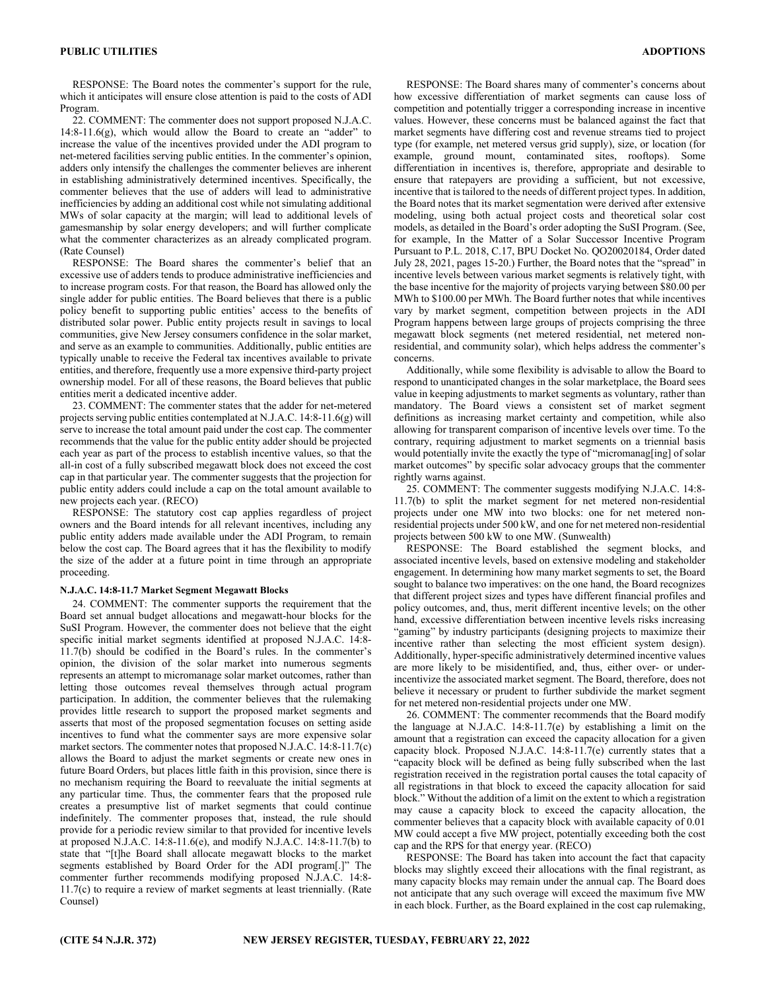RESPONSE: The Board notes the commenter's support for the rule, which it anticipates will ensure close attention is paid to the costs of ADI Program.

22. COMMENT: The commenter does not support proposed N.J.A.C.  $14:8-11.6(g)$ , which would allow the Board to create an "adder" to increase the value of the incentives provided under the ADI program to net-metered facilities serving public entities. In the commenter's opinion, adders only intensify the challenges the commenter believes are inherent in establishing administratively determined incentives. Specifically, the commenter believes that the use of adders will lead to administrative inefficiencies by adding an additional cost while not simulating additional MWs of solar capacity at the margin; will lead to additional levels of gamesmanship by solar energy developers; and will further complicate what the commenter characterizes as an already complicated program. (Rate Counsel)

RESPONSE: The Board shares the commenter's belief that an excessive use of adders tends to produce administrative inefficiencies and to increase program costs. For that reason, the Board has allowed only the single adder for public entities. The Board believes that there is a public policy benefit to supporting public entities' access to the benefits of distributed solar power. Public entity projects result in savings to local communities, give New Jersey consumers confidence in the solar market, and serve as an example to communities. Additionally, public entities are typically unable to receive the Federal tax incentives available to private entities, and therefore, frequently use a more expensive third-party project ownership model. For all of these reasons, the Board believes that public entities merit a dedicated incentive adder.

23. COMMENT: The commenter states that the adder for net-metered projects serving public entities contemplated at N.J.A.C. 14:8-11.6(g) will serve to increase the total amount paid under the cost cap. The commenter recommends that the value for the public entity adder should be projected each year as part of the process to establish incentive values, so that the all-in cost of a fully subscribed megawatt block does not exceed the cost cap in that particular year. The commenter suggests that the projection for public entity adders could include a cap on the total amount available to new projects each year. (RECO)

RESPONSE: The statutory cost cap applies regardless of project owners and the Board intends for all relevant incentives, including any public entity adders made available under the ADI Program, to remain below the cost cap. The Board agrees that it has the flexibility to modify the size of the adder at a future point in time through an appropriate proceeding.

#### **N.J.A.C. 14:8-11.7 Market Segment Megawatt Blocks**

24. COMMENT: The commenter supports the requirement that the Board set annual budget allocations and megawatt-hour blocks for the SuSI Program. However, the commenter does not believe that the eight specific initial market segments identified at proposed N.J.A.C. 14:8- 11.7(b) should be codified in the Board's rules. In the commenter's opinion, the division of the solar market into numerous segments represents an attempt to micromanage solar market outcomes, rather than letting those outcomes reveal themselves through actual program participation. In addition, the commenter believes that the rulemaking provides little research to support the proposed market segments and asserts that most of the proposed segmentation focuses on setting aside incentives to fund what the commenter says are more expensive solar market sectors. The commenter notes that proposed N.J.A.C. 14:8-11.7(c) allows the Board to adjust the market segments or create new ones in future Board Orders, but places little faith in this provision, since there is no mechanism requiring the Board to reevaluate the initial segments at any particular time. Thus, the commenter fears that the proposed rule creates a presumptive list of market segments that could continue indefinitely. The commenter proposes that, instead, the rule should provide for a periodic review similar to that provided for incentive levels at proposed N.J.A.C. 14:8-11.6(e), and modify N.J.A.C. 14:8-11.7(b) to state that "[t]he Board shall allocate megawatt blocks to the market segments established by Board Order for the ADI program[.]" The commenter further recommends modifying proposed N.J.A.C. 14:8- 11.7(c) to require a review of market segments at least triennially. (Rate Counsel)

RESPONSE: The Board shares many of commenter's concerns about how excessive differentiation of market segments can cause loss of competition and potentially trigger a corresponding increase in incentive values. However, these concerns must be balanced against the fact that market segments have differing cost and revenue streams tied to project type (for example, net metered versus grid supply), size, or location (for example, ground mount, contaminated sites, rooftops). Some differentiation in incentives is, therefore, appropriate and desirable to ensure that ratepayers are providing a sufficient, but not excessive, incentive that is tailored to the needs of different project types. In addition, the Board notes that its market segmentation were derived after extensive modeling, using both actual project costs and theoretical solar cost models, as detailed in the Board's order adopting the SuSI Program. (See, for example, In the Matter of a Solar Successor Incentive Program Pursuant to P.L. 2018, C.17, BPU Docket No. QO20020184, Order dated July 28, 2021, pages 15-20.) Further, the Board notes that the "spread" in incentive levels between various market segments is relatively tight, with the base incentive for the majority of projects varying between \$80.00 per MWh to \$100.00 per MWh. The Board further notes that while incentives vary by market segment, competition between projects in the ADI Program happens between large groups of projects comprising the three megawatt block segments (net metered residential, net metered nonresidential, and community solar), which helps address the commenter's concerns.

Additionally, while some flexibility is advisable to allow the Board to respond to unanticipated changes in the solar marketplace, the Board sees value in keeping adjustments to market segments as voluntary, rather than mandatory. The Board views a consistent set of market segment definitions as increasing market certainty and competition, while also allowing for transparent comparison of incentive levels over time. To the contrary, requiring adjustment to market segments on a triennial basis would potentially invite the exactly the type of "micromanag[ing] of solar market outcomes" by specific solar advocacy groups that the commenter rightly warns against.

25. COMMENT: The commenter suggests modifying N.J.A.C. 14:8- 11.7(b) to split the market segment for net metered non-residential projects under one MW into two blocks: one for net metered nonresidential projects under 500 kW, and one for net metered non-residential projects between 500 kW to one MW. (Sunwealth)

RESPONSE: The Board established the segment blocks, and associated incentive levels, based on extensive modeling and stakeholder engagement. In determining how many market segments to set, the Board sought to balance two imperatives: on the one hand, the Board recognizes that different project sizes and types have different financial profiles and policy outcomes, and, thus, merit different incentive levels; on the other hand, excessive differentiation between incentive levels risks increasing "gaming" by industry participants (designing projects to maximize their incentive rather than selecting the most efficient system design). Additionally, hyper-specific administratively determined incentive values are more likely to be misidentified, and, thus, either over- or underincentivize the associated market segment. The Board, therefore, does not believe it necessary or prudent to further subdivide the market segment for net metered non-residential projects under one MW.

26. COMMENT: The commenter recommends that the Board modify the language at N.J.A.C. 14:8-11.7(e) by establishing a limit on the amount that a registration can exceed the capacity allocation for a given capacity block. Proposed N.J.A.C. 14:8-11.7(e) currently states that a "capacity block will be defined as being fully subscribed when the last registration received in the registration portal causes the total capacity of all registrations in that block to exceed the capacity allocation for said block." Without the addition of a limit on the extent to which a registration may cause a capacity block to exceed the capacity allocation, the commenter believes that a capacity block with available capacity of 0.01 MW could accept a five MW project, potentially exceeding both the cost cap and the RPS for that energy year. (RECO)

RESPONSE: The Board has taken into account the fact that capacity blocks may slightly exceed their allocations with the final registrant, as many capacity blocks may remain under the annual cap. The Board does not anticipate that any such overage will exceed the maximum five MW in each block. Further, as the Board explained in the cost cap rulemaking,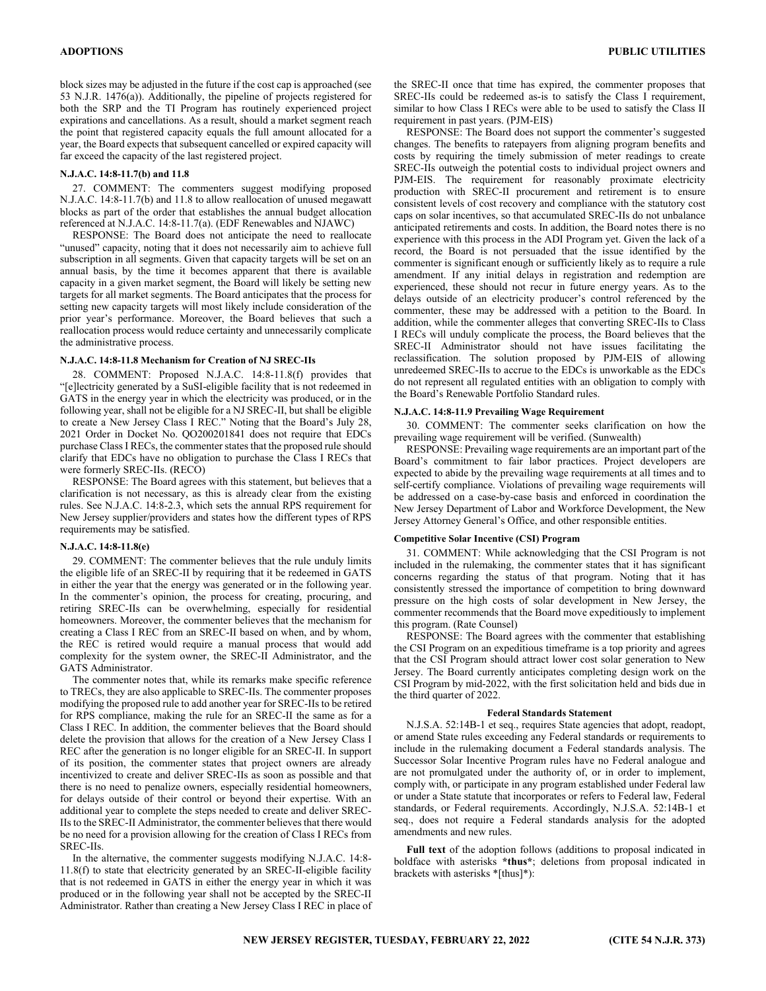block sizes may be adjusted in the future if the cost cap is approached (see 53 N.J.R. 1476(a)). Additionally, the pipeline of projects registered for both the SRP and the TI Program has routinely experienced project expirations and cancellations. As a result, should a market segment reach the point that registered capacity equals the full amount allocated for a year, the Board expects that subsequent cancelled or expired capacity will far exceed the capacity of the last registered project.

#### **N.J.A.C. 14:8-11.7(b) and 11.8**

27. COMMENT: The commenters suggest modifying proposed N.J.A.C. 14:8-11.7(b) and 11.8 to allow reallocation of unused megawatt blocks as part of the order that establishes the annual budget allocation referenced at N.J.A.C. 14:8-11.7(a). (EDF Renewables and NJAWC)

RESPONSE: The Board does not anticipate the need to reallocate "unused" capacity, noting that it does not necessarily aim to achieve full subscription in all segments. Given that capacity targets will be set on an annual basis, by the time it becomes apparent that there is available capacity in a given market segment, the Board will likely be setting new targets for all market segments. The Board anticipates that the process for setting new capacity targets will most likely include consideration of the prior year's performance. Moreover, the Board believes that such a reallocation process would reduce certainty and unnecessarily complicate the administrative process.

#### **N.J.A.C. 14:8-11.8 Mechanism for Creation of NJ SREC-IIs**

28. COMMENT: Proposed N.J.A.C. 14:8-11.8(f) provides that "[e]lectricity generated by a SuSI-eligible facility that is not redeemed in GATS in the energy year in which the electricity was produced, or in the following year, shall not be eligible for a NJ SREC-II, but shall be eligible to create a New Jersey Class I REC." Noting that the Board's July 28, 2021 Order in Docket No. QO200201841 does not require that EDCs purchase Class I RECs, the commenter states that the proposed rule should clarify that EDCs have no obligation to purchase the Class I RECs that were formerly SREC-IIs. (RECO)

RESPONSE: The Board agrees with this statement, but believes that a clarification is not necessary, as this is already clear from the existing rules. See N.J.A.C. 14:8-2.3, which sets the annual RPS requirement for New Jersey supplier/providers and states how the different types of RPS requirements may be satisfied.

#### **N.J.A.C. 14:8-11.8(e)**

29. COMMENT: The commenter believes that the rule unduly limits the eligible life of an SREC-II by requiring that it be redeemed in GATS in either the year that the energy was generated or in the following year. In the commenter's opinion, the process for creating, procuring, and retiring SREC-IIs can be overwhelming, especially for residential homeowners. Moreover, the commenter believes that the mechanism for creating a Class I REC from an SREC-II based on when, and by whom, the REC is retired would require a manual process that would add complexity for the system owner, the SREC-II Administrator, and the GATS Administrator.

The commenter notes that, while its remarks make specific reference to TRECs, they are also applicable to SREC-IIs. The commenter proposes modifying the proposed rule to add another year for SREC-IIs to be retired for RPS compliance, making the rule for an SREC-II the same as for a Class I REC. In addition, the commenter believes that the Board should delete the provision that allows for the creation of a New Jersey Class I REC after the generation is no longer eligible for an SREC-II. In support of its position, the commenter states that project owners are already incentivized to create and deliver SREC-IIs as soon as possible and that there is no need to penalize owners, especially residential homeowners, for delays outside of their control or beyond their expertise. With an additional year to complete the steps needed to create and deliver SREC-IIs to the SREC-II Administrator, the commenter believes that there would be no need for a provision allowing for the creation of Class I RECs from SREC-IIs.

In the alternative, the commenter suggests modifying N.J.A.C. 14:8- 11.8(f) to state that electricity generated by an SREC-II-eligible facility that is not redeemed in GATS in either the energy year in which it was produced or in the following year shall not be accepted by the SREC-II Administrator. Rather than creating a New Jersey Class I REC in place of the SREC-II once that time has expired, the commenter proposes that SREC-IIs could be redeemed as-is to satisfy the Class I requirement, similar to how Class I RECs were able to be used to satisfy the Class II requirement in past years. (PJM-EIS)

RESPONSE: The Board does not support the commenter's suggested changes. The benefits to ratepayers from aligning program benefits and costs by requiring the timely submission of meter readings to create SREC-IIs outweigh the potential costs to individual project owners and PJM-EIS. The requirement for reasonably proximate electricity production with SREC-II procurement and retirement is to ensure consistent levels of cost recovery and compliance with the statutory cost caps on solar incentives, so that accumulated SREC-IIs do not unbalance anticipated retirements and costs. In addition, the Board notes there is no experience with this process in the ADI Program yet. Given the lack of a record, the Board is not persuaded that the issue identified by the commenter is significant enough or sufficiently likely as to require a rule amendment. If any initial delays in registration and redemption are experienced, these should not recur in future energy years. As to the delays outside of an electricity producer's control referenced by the commenter, these may be addressed with a petition to the Board. In addition, while the commenter alleges that converting SREC-IIs to Class I RECs will unduly complicate the process, the Board believes that the SREC-II Administrator should not have issues facilitating the reclassification. The solution proposed by PJM-EIS of allowing unredeemed SREC-IIs to accrue to the EDCs is unworkable as the EDCs do not represent all regulated entities with an obligation to comply with the Board's Renewable Portfolio Standard rules.

#### **N.J.A.C. 14:8-11.9 Prevailing Wage Requirement**

30. COMMENT: The commenter seeks clarification on how the prevailing wage requirement will be verified. (Sunwealth)

RESPONSE: Prevailing wage requirements are an important part of the Board's commitment to fair labor practices. Project developers are expected to abide by the prevailing wage requirements at all times and to self-certify compliance. Violations of prevailing wage requirements will be addressed on a case-by-case basis and enforced in coordination the New Jersey Department of Labor and Workforce Development, the New Jersey Attorney General's Office, and other responsible entities.

#### **Competitive Solar Incentive (CSI) Program**

31. COMMENT: While acknowledging that the CSI Program is not included in the rulemaking, the commenter states that it has significant concerns regarding the status of that program. Noting that it has consistently stressed the importance of competition to bring downward pressure on the high costs of solar development in New Jersey, the commenter recommends that the Board move expeditiously to implement this program. (Rate Counsel)

RESPONSE: The Board agrees with the commenter that establishing the CSI Program on an expeditious timeframe is a top priority and agrees that the CSI Program should attract lower cost solar generation to New Jersey. The Board currently anticipates completing design work on the CSI Program by mid-2022, with the first solicitation held and bids due in the third quarter of 2022.

#### **Federal Standards Statement**

N.J.S.A. 52:14B-1 et seq., requires State agencies that adopt, readopt, or amend State rules exceeding any Federal standards or requirements to include in the rulemaking document a Federal standards analysis. The Successor Solar Incentive Program rules have no Federal analogue and are not promulgated under the authority of, or in order to implement, comply with, or participate in any program established under Federal law or under a State statute that incorporates or refers to Federal law, Federal standards, or Federal requirements. Accordingly, N.J.S.A. 52:14B-1 et seq., does not require a Federal standards analysis for the adopted amendments and new rules.

**Full text** of the adoption follows (additions to proposal indicated in boldface with asterisks **\*thus\***; deletions from proposal indicated in brackets with asterisks \*[thus]\*):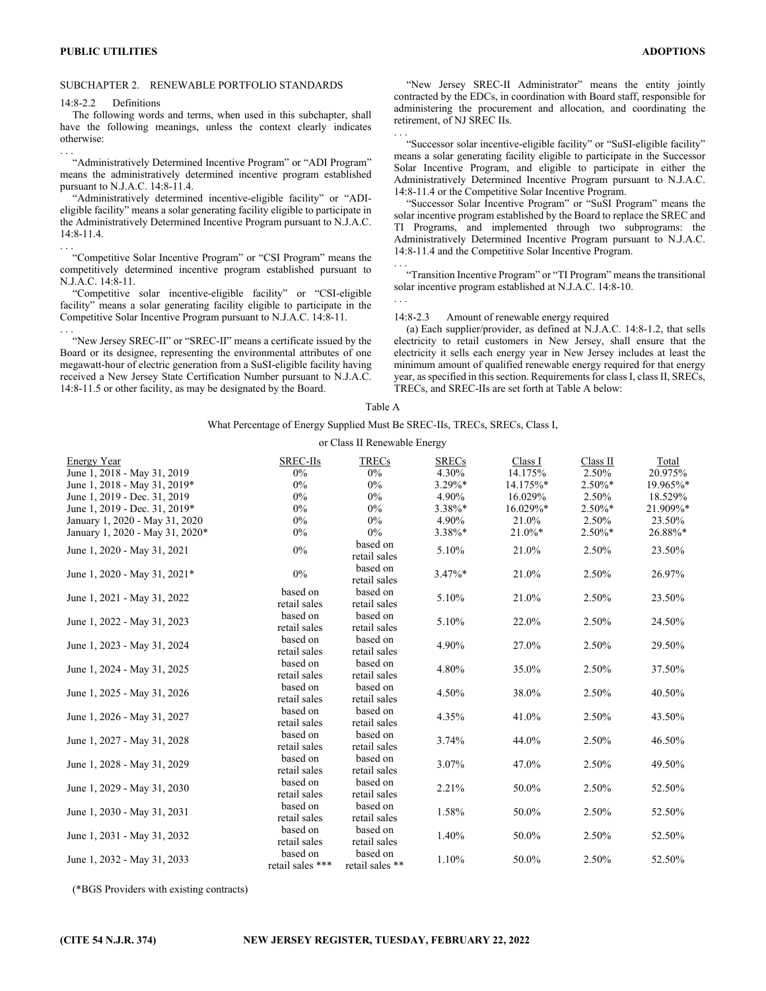#### SUBCHAPTER 2. RENEWABLE PORTFOLIO STANDARDS

14:8-2.2 Definitions

. . .

The following words and terms, when used in this subchapter, shall have the following meanings, unless the context clearly indicates otherwise: . . .

"Administratively Determined Incentive Program" or "ADI Program" means the administratively determined incentive program established pursuant to N.J.A.C. 14:8-11.4.

"Administratively determined incentive-eligible facility" or "ADIeligible facility" means a solar generating facility eligible to participate in the Administratively Determined Incentive Program pursuant to N.J.A.C. 14:8-11.4.

"Competitive Solar Incentive Program" or "CSI Program" means the competitively determined incentive program established pursuant to N.J.A.C. 14:8-11.

"Competitive solar incentive-eligible facility" or "CSI-eligible facility" means a solar generating facility eligible to participate in the Competitive Solar Incentive Program pursuant to N.J.A.C. 14:8-11. . . .

"New Jersey SREC-II" or "SREC-II" means a certificate issued by the Board or its designee, representing the environmental attributes of one megawatt-hour of electric generation from a SuSI-eligible facility having received a New Jersey State Certification Number pursuant to N.J.A.C. 14:8-11.5 or other facility, as may be designated by the Board.

"New Jersey SREC-II Administrator" means the entity jointly contracted by the EDCs, in coordination with Board staff, responsible for administering the procurement and allocation, and coordinating the retirement, of NJ SREC IIs.

"Successor solar incentive-eligible facility" or "SuSI-eligible facility" means a solar generating facility eligible to participate in the Successor Solar Incentive Program, and eligible to participate in either the Administratively Determined Incentive Program pursuant to N.J.A.C. 14:8-11.4 or the Competitive Solar Incentive Program.

"Successor Solar Incentive Program" or "SuSI Program" means the solar incentive program established by the Board to replace the SREC and TI Programs, and implemented through two subprograms: the Administratively Determined Incentive Program pursuant to N.J.A.C. 14:8-11.4 and the Competitive Solar Incentive Program. . . .

"Transition Incentive Program" or "TI Program" means the transitional solar incentive program established at N.J.A.C. 14:8-10.

## . . .

. . .

#### 14:8-2.3 Amount of renewable energy required

(a) Each supplier/provider, as defined at N.J.A.C. 14:8-1.2, that sells electricity to retail customers in New Jersey, shall ensure that the electricity it sells each energy year in New Jersey includes at least the minimum amount of qualified renewable energy required for that energy year, as specified in this section. Requirements for class I, class II, SRECs, TRECs, and SREC-IIs are set forth at Table A below:

#### Table A

## What Percentage of Energy Supplied Must Be SREC-IIs, TRECs, SRECs, Class I,

#### or Class II Renewable Energy

| Energy Year                     | SREC-IIs                     | <b>TRECs</b>                | <b>SRECs</b> | Class I   | Class II  | Total    |
|---------------------------------|------------------------------|-----------------------------|--------------|-----------|-----------|----------|
| June 1, 2018 - May 31, 2019     | $0\%$                        | $0\%$                       | 4.30%        | 14.175%   | 2.50%     | 20.975%  |
| June 1, 2018 - May 31, 2019*    | 0%                           | $0\%$                       | 3.29%*       | 14.175%*  | $2.50\%*$ | 19.965%* |
| June 1, 2019 - Dec. 31, 2019    | 0%                           | $0\%$                       | 4.90%        | 16.029%   | 2.50%     | 18.529%  |
| June 1, 2019 - Dec. 31, 2019*   | 0%                           | $0\%$                       | 3.38%*       | 16.029%*  | $2.50\%*$ | 21.909%* |
| January 1, 2020 - May 31, 2020  | 0%                           | $0\%$                       | 4.90%        | 21.0%     | 2.50%     | 23.50%   |
| January 1, 2020 - May 31, 2020* | 0%                           | $0\%$                       | 3.38%*       | $21.0\%*$ | $2.50\%*$ | 26.88%*  |
| June 1, 2020 - May 31, 2021     | 0%                           | based on<br>retail sales    | 5.10%        | 21.0%     | 2.50%     | 23.50%   |
| June 1, 2020 - May 31, 2021*    | 0%                           | based on<br>retail sales    | $3.47\%*$    | 21.0%     | 2.50%     | 26.97%   |
| June 1, 2021 - May 31, 2022     | based on<br>retail sales     | based on<br>retail sales    | 5.10%        | 21.0%     | 2.50%     | 23.50%   |
| June 1, 2022 - May 31, 2023     | based on<br>retail sales     | based on<br>retail sales    | 5.10%        | 22.0%     | 2.50%     | 24.50%   |
| June 1, 2023 - May 31, 2024     | based on<br>retail sales     | based on<br>retail sales    | 4.90%        | 27.0%     | 2.50%     | 29.50%   |
| June 1, 2024 - May 31, 2025     | based on<br>retail sales     | based on<br>retail sales    | 4.80%        | 35.0%     | 2.50%     | 37.50%   |
| June 1, 2025 - May 31, 2026     | based on<br>retail sales     | based on<br>retail sales    | 4.50%        | 38.0%     | 2.50%     | 40.50%   |
| June 1, 2026 - May 31, 2027     | based on<br>retail sales     | based on<br>retail sales    | 4.35%        | 41.0%     | 2.50%     | 43.50%   |
| June 1, 2027 - May 31, 2028     | based on<br>retail sales     | based on<br>retail sales    | 3.74%        | 44.0%     | 2.50%     | 46.50%   |
| June 1, 2028 - May 31, 2029     | based on<br>retail sales     | based on<br>retail sales    | 3.07%        | 47.0%     | 2.50%     | 49.50%   |
| June 1, 2029 - May 31, 2030     | based on<br>retail sales     | based on<br>retail sales    | 2.21%        | 50.0%     | 2.50%     | 52.50%   |
| June 1, 2030 - May 31, 2031     | based on<br>retail sales     | based on<br>retail sales    | 1.58%        | 50.0%     | 2.50%     | 52.50%   |
| June 1, 2031 - May 31, 2032     | based on<br>retail sales     | based on<br>retail sales    | 1.40%        | 50.0%     | 2.50%     | 52.50%   |
| June 1, 2032 - May 31, 2033     | based on<br>retail sales *** | based on<br>retail sales ** | 1.10%        | 50.0%     | 2.50%     | 52.50%   |

(\*BGS Providers with existing contracts)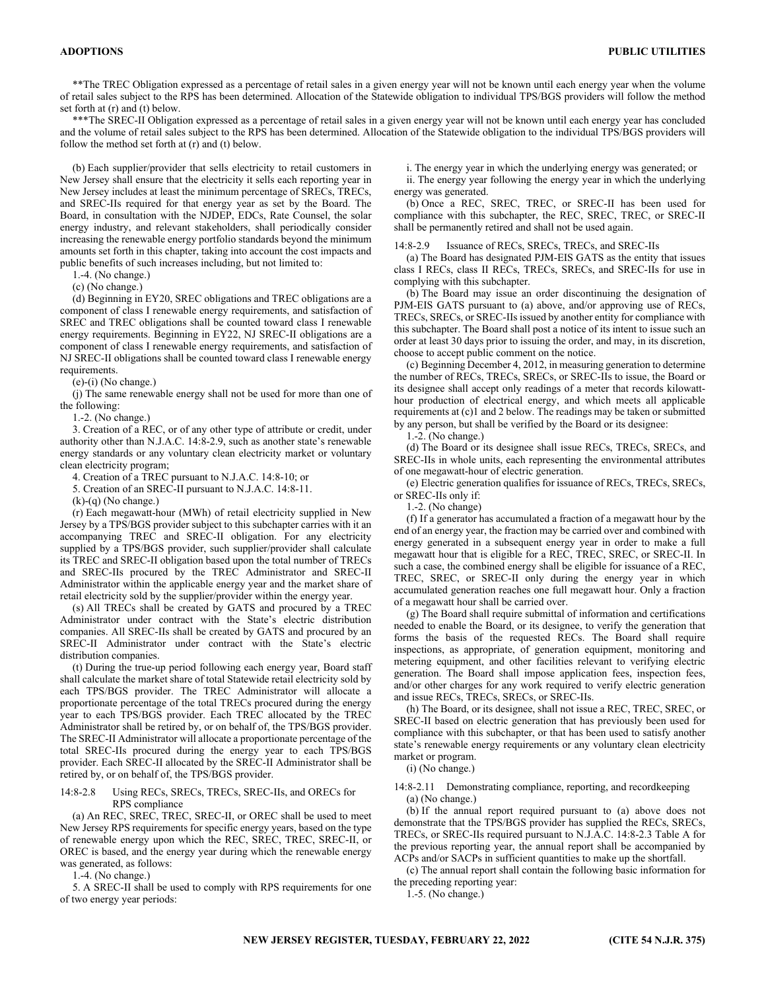\*\*The TREC Obligation expressed as a percentage of retail sales in a given energy year will not be known until each energy year when the volume of retail sales subject to the RPS has been determined. Allocation of the Statewide obligation to individual TPS/BGS providers will follow the method set forth at (r) and (t) below.

\*\*\*The SREC-II Obligation expressed as a percentage of retail sales in a given energy year will not be known until each energy year has concluded and the volume of retail sales subject to the RPS has been determined. Allocation of the Statewide obligation to the individual TPS/BGS providers will follow the method set forth at (r) and (t) below.

(b) Each supplier/provider that sells electricity to retail customers in New Jersey shall ensure that the electricity it sells each reporting year in New Jersey includes at least the minimum percentage of SRECs, TRECs, and SREC-IIs required for that energy year as set by the Board. The Board, in consultation with the NJDEP, EDCs, Rate Counsel, the solar energy industry, and relevant stakeholders, shall periodically consider increasing the renewable energy portfolio standards beyond the minimum amounts set forth in this chapter, taking into account the cost impacts and public benefits of such increases including, but not limited to:

1.-4. (No change.)

(c) (No change.)

(d) Beginning in EY20, SREC obligations and TREC obligations are a component of class I renewable energy requirements, and satisfaction of SREC and TREC obligations shall be counted toward class I renewable energy requirements. Beginning in EY22, NJ SREC-II obligations are a component of class I renewable energy requirements, and satisfaction of NJ SREC-II obligations shall be counted toward class I renewable energy requirements.

(e)-(i) (No change.)

(j) The same renewable energy shall not be used for more than one of the following:

1.-2. (No change.)

3. Creation of a REC, or of any other type of attribute or credit, under authority other than N.J.A.C. 14:8-2.9, such as another state's renewable energy standards or any voluntary clean electricity market or voluntary clean electricity program;

4. Creation of a TREC pursuant to N.J.A.C. 14:8-10; or

5. Creation of an SREC-II pursuant to N.J.A.C. 14:8-11.

 $(k)-(q)$  (No change.)

(r) Each megawatt-hour (MWh) of retail electricity supplied in New Jersey by a TPS/BGS provider subject to this subchapter carries with it an accompanying TREC and SREC-II obligation. For any electricity supplied by a TPS/BGS provider, such supplier/provider shall calculate its TREC and SREC-II obligation based upon the total number of TRECs and SREC-IIs procured by the TREC Administrator and SREC-II Administrator within the applicable energy year and the market share of retail electricity sold by the supplier/provider within the energy year.

(s) All TRECs shall be created by GATS and procured by a TREC Administrator under contract with the State's electric distribution companies. All SREC-IIs shall be created by GATS and procured by an SREC-II Administrator under contract with the State's electric distribution companies.

(t) During the true-up period following each energy year, Board staff shall calculate the market share of total Statewide retail electricity sold by each TPS/BGS provider. The TREC Administrator will allocate a proportionate percentage of the total TRECs procured during the energy year to each TPS/BGS provider. Each TREC allocated by the TREC Administrator shall be retired by, or on behalf of, the TPS/BGS provider. The SREC-II Administrator will allocate a proportionate percentage of the total SREC-IIs procured during the energy year to each TPS/BGS provider. Each SREC-II allocated by the SREC-II Administrator shall be retired by, or on behalf of, the TPS/BGS provider.

#### 14:8-2.8 Using RECs, SRECs, TRECs, SREC-IIs, and ORECs for RPS compliance

(a) An REC, SREC, TREC, SREC-II, or OREC shall be used to meet New Jersey RPS requirements for specific energy years, based on the type of renewable energy upon which the REC, SREC, TREC, SREC-II, or OREC is based, and the energy year during which the renewable energy was generated, as follows:

1.-4. (No change.)

5. A SREC-II shall be used to comply with RPS requirements for one of two energy year periods:

i. The energy year in which the underlying energy was generated; or

ii. The energy year following the energy year in which the underlying energy was generated.

(b) Once a REC, SREC, TREC, or SREC-II has been used for compliance with this subchapter, the REC, SREC, TREC, or SREC-II shall be permanently retired and shall not be used again.

14:8-2.9 Issuance of RECs, SRECs, TRECs, and SREC-IIs

(a) The Board has designated PJM-EIS GATS as the entity that issues class I RECs, class II RECs, TRECs, SRECs, and SREC-IIs for use in complying with this subchapter.

(b) The Board may issue an order discontinuing the designation of PJM-EIS GATS pursuant to (a) above, and/or approving use of RECs, TRECs, SRECs, or SREC-IIs issued by another entity for compliance with this subchapter. The Board shall post a notice of its intent to issue such an order at least 30 days prior to issuing the order, and may, in its discretion, choose to accept public comment on the notice.

(c) Beginning December 4, 2012, in measuring generation to determine the number of RECs, TRECs, SRECs, or SREC-IIs to issue, the Board or its designee shall accept only readings of a meter that records kilowatthour production of electrical energy, and which meets all applicable requirements at (c)1 and 2 below. The readings may be taken or submitted by any person, but shall be verified by the Board or its designee:

1.-2. (No change.)

(d) The Board or its designee shall issue RECs, TRECs, SRECs, and SREC-IIs in whole units, each representing the environmental attributes of one megawatt-hour of electric generation.

(e) Electric generation qualifies for issuance of RECs, TRECs, SRECs, or SREC-IIs only if:

1.-2. (No change)

(f) If a generator has accumulated a fraction of a megawatt hour by the end of an energy year, the fraction may be carried over and combined with energy generated in a subsequent energy year in order to make a full megawatt hour that is eligible for a REC, TREC, SREC, or SREC-II. In such a case, the combined energy shall be eligible for issuance of a REC, TREC, SREC, or SREC-II only during the energy year in which accumulated generation reaches one full megawatt hour. Only a fraction of a megawatt hour shall be carried over.

(g) The Board shall require submittal of information and certifications needed to enable the Board, or its designee, to verify the generation that forms the basis of the requested RECs. The Board shall require inspections, as appropriate, of generation equipment, monitoring and metering equipment, and other facilities relevant to verifying electric generation. The Board shall impose application fees, inspection fees, and/or other charges for any work required to verify electric generation and issue RECs, TRECs, SRECs, or SREC-IIs.

(h) The Board, or its designee, shall not issue a REC, TREC, SREC, or SREC-II based on electric generation that has previously been used for compliance with this subchapter, or that has been used to satisfy another state's renewable energy requirements or any voluntary clean electricity market or program.

(i) (No change.)

14:8-2.11 Demonstrating compliance, reporting, and recordkeeping (a) (No change.)

(b) If the annual report required pursuant to (a) above does not demonstrate that the TPS/BGS provider has supplied the RECs, SRECs, TRECs, or SREC-IIs required pursuant to N.J.A.C. 14:8-2.3 Table A for the previous reporting year, the annual report shall be accompanied by ACPs and/or SACPs in sufficient quantities to make up the shortfall.

(c) The annual report shall contain the following basic information for the preceding reporting year:

1.-5. (No change.)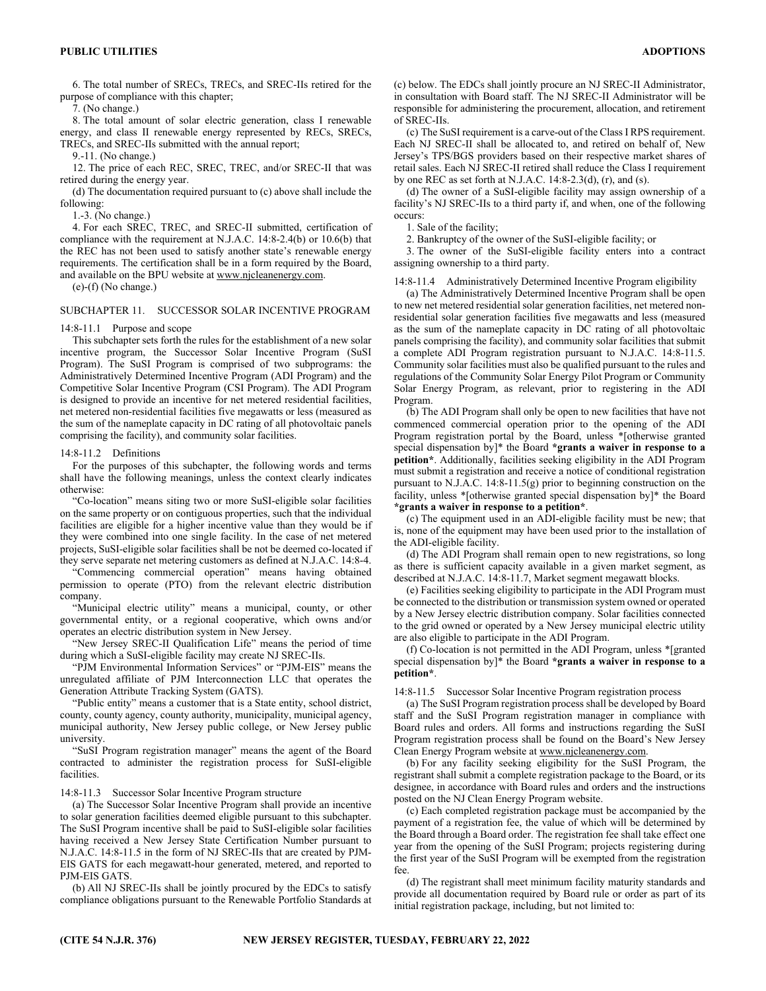6. The total number of SRECs, TRECs, and SREC-IIs retired for the purpose of compliance with this chapter;

7. (No change.)

8. The total amount of solar electric generation, class I renewable energy, and class II renewable energy represented by RECs, SRECs, TRECs, and SREC-IIs submitted with the annual report;

9.-11. (No change.)

12. The price of each REC, SREC, TREC, and/or SREC-II that was retired during the energy year.

(d) The documentation required pursuant to (c) above shall include the following:

1.-3. (No change.)

4. For each SREC, TREC, and SREC-II submitted, certification of compliance with the requirement at N.J.A.C. 14:8-2.4(b) or 10.6(b) that the REC has not been used to satisfy another state's renewable energy requirements. The certification shall be in a form required by the Board, and available on the BPU website at www.njcleanenergy.com.

(e)-(f) (No change.)

## SUBCHAPTER 11. SUCCESSOR SOLAR INCENTIVE PROGRAM

#### 14:8-11.1 Purpose and scope

This subchapter sets forth the rules for the establishment of a new solar incentive program, the Successor Solar Incentive Program (SuSI Program). The SuSI Program is comprised of two subprograms: the Administratively Determined Incentive Program (ADI Program) and the Competitive Solar Incentive Program (CSI Program). The ADI Program is designed to provide an incentive for net metered residential facilities, net metered non-residential facilities five megawatts or less (measured as the sum of the nameplate capacity in DC rating of all photovoltaic panels comprising the facility), and community solar facilities.

#### 14:8-11.2 Definitions

For the purposes of this subchapter, the following words and terms shall have the following meanings, unless the context clearly indicates otherwise:

"Co-location" means siting two or more SuSI-eligible solar facilities on the same property or on contiguous properties, such that the individual facilities are eligible for a higher incentive value than they would be if they were combined into one single facility. In the case of net metered projects, SuSI-eligible solar facilities shall be not be deemed co-located if they serve separate net metering customers as defined at N.J.A.C. 14:8-4.

"Commencing commercial operation" means having obtained permission to operate (PTO) from the relevant electric distribution company.

"Municipal electric utility" means a municipal, county, or other governmental entity, or a regional cooperative, which owns and/or operates an electric distribution system in New Jersey.

"New Jersey SREC-II Qualification Life" means the period of time during which a SuSI-eligible facility may create NJ SREC-IIs.

"PJM Environmental Information Services" or "PJM-EIS" means the unregulated affiliate of PJM Interconnection LLC that operates the Generation Attribute Tracking System (GATS).

"Public entity" means a customer that is a State entity, school district, county, county agency, county authority, municipality, municipal agency, municipal authority, New Jersey public college, or New Jersey public university.

"SuSI Program registration manager" means the agent of the Board contracted to administer the registration process for SuSI-eligible facilities.

#### 14:8-11.3 Successor Solar Incentive Program structure

(a) The Successor Solar Incentive Program shall provide an incentive to solar generation facilities deemed eligible pursuant to this subchapter. The SuSI Program incentive shall be paid to SuSI-eligible solar facilities having received a New Jersey State Certification Number pursuant to N.J.A.C. 14:8-11.5 in the form of NJ SREC-IIs that are created by PJM-EIS GATS for each megawatt-hour generated, metered, and reported to PJM-EIS GATS.

(b) All NJ SREC-IIs shall be jointly procured by the EDCs to satisfy compliance obligations pursuant to the Renewable Portfolio Standards at (c) below. The EDCs shall jointly procure an NJ SREC-II Administrator, in consultation with Board staff. The NJ SREC-II Administrator will be responsible for administering the procurement, allocation, and retirement of SREC-IIs.

(c) The SuSI requirement is a carve-out of the Class I RPS requirement. Each NJ SREC-II shall be allocated to, and retired on behalf of, New Jersey's TPS/BGS providers based on their respective market shares of retail sales. Each NJ SREC-II retired shall reduce the Class I requirement by one REC as set forth at N.J.A.C.  $14:8-2.3(d)$ , (r), and (s).

(d) The owner of a SuSI-eligible facility may assign ownership of a facility's NJ SREC-IIs to a third party if, and when, one of the following occurs:

1. Sale of the facility;

2. Bankruptcy of the owner of the SuSI-eligible facility; or

3. The owner of the SuSI-eligible facility enters into a contract assigning ownership to a third party.

14:8-11.4 Administratively Determined Incentive Program eligibility

(a) The Administratively Determined Incentive Program shall be open to new net metered residential solar generation facilities, net metered nonresidential solar generation facilities five megawatts and less (measured as the sum of the nameplate capacity in DC rating of all photovoltaic panels comprising the facility), and community solar facilities that submit a complete ADI Program registration pursuant to N.J.A.C. 14:8-11.5. Community solar facilities must also be qualified pursuant to the rules and regulations of the Community Solar Energy Pilot Program or Community Solar Energy Program, as relevant, prior to registering in the ADI Program.

(b) The ADI Program shall only be open to new facilities that have not commenced commercial operation prior to the opening of the ADI Program registration portal by the Board, unless \*[otherwise granted special dispensation by]\* the Board **\*grants a waiver in response to a petition\***. Additionally, facilities seeking eligibility in the ADI Program must submit a registration and receive a notice of conditional registration pursuant to N.J.A.C. 14:8-11.5(g) prior to beginning construction on the facility, unless \*[otherwise granted special dispensation by]\* the Board **\*grants a waiver in response to a petition\***.

(c) The equipment used in an ADI-eligible facility must be new; that is, none of the equipment may have been used prior to the installation of the ADI-eligible facility.

(d) The ADI Program shall remain open to new registrations, so long as there is sufficient capacity available in a given market segment, as described at N.J.A.C. 14:8-11.7, Market segment megawatt blocks.

(e) Facilities seeking eligibility to participate in the ADI Program must be connected to the distribution or transmission system owned or operated by a New Jersey electric distribution company. Solar facilities connected to the grid owned or operated by a New Jersey municipal electric utility are also eligible to participate in the ADI Program.

(f) Co-location is not permitted in the ADI Program, unless \*[granted special dispensation by]\* the Board **\*grants a waiver in response to a petition\***.

14:8-11.5 Successor Solar Incentive Program registration process

(a) The SuSI Program registration process shall be developed by Board staff and the SuSI Program registration manager in compliance with Board rules and orders. All forms and instructions regarding the SuSI Program registration process shall be found on the Board's New Jersey Clean Energy Program website at www.njcleanenergy.com.

(b) For any facility seeking eligibility for the SuSI Program, the registrant shall submit a complete registration package to the Board, or its designee, in accordance with Board rules and orders and the instructions posted on the NJ Clean Energy Program website.

(c) Each completed registration package must be accompanied by the payment of a registration fee, the value of which will be determined by the Board through a Board order. The registration fee shall take effect one year from the opening of the SuSI Program; projects registering during the first year of the SuSI Program will be exempted from the registration fee.

(d) The registrant shall meet minimum facility maturity standards and provide all documentation required by Board rule or order as part of its initial registration package, including, but not limited to: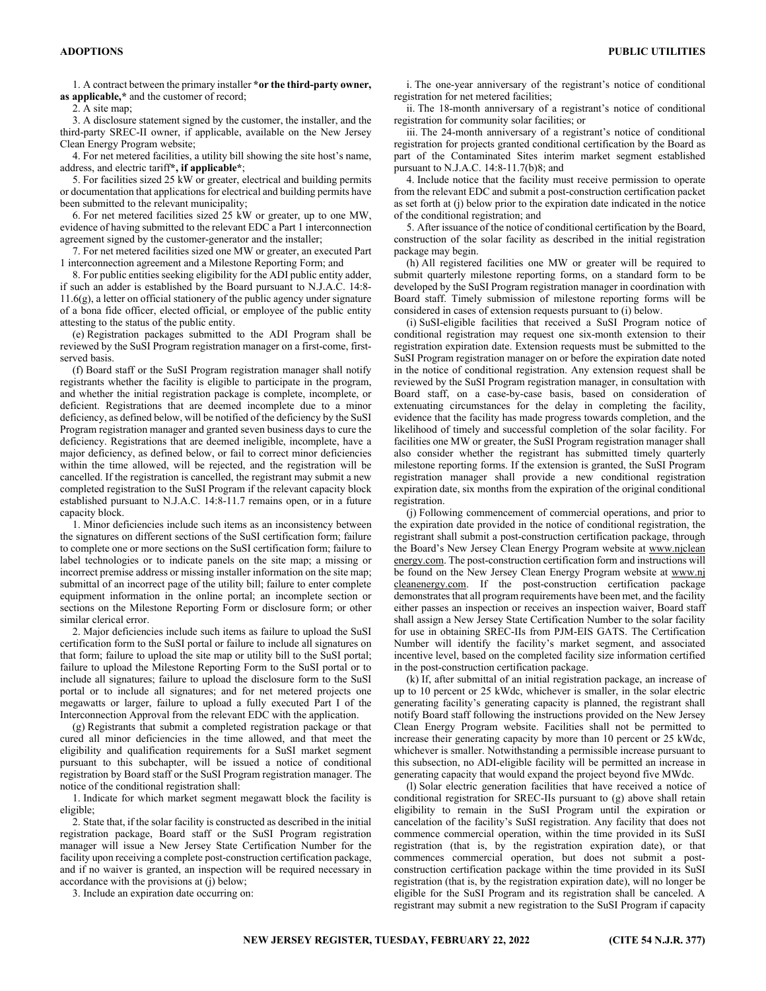1. A contract between the primary installer **\*or the third-party owner, as applicable,\*** and the customer of record;

2. A site map;

3. A disclosure statement signed by the customer, the installer, and the third-party SREC-II owner, if applicable, available on the New Jersey Clean Energy Program website;

4. For net metered facilities, a utility bill showing the site host's name, address, and electric tariff**\*, if applicable\***;

5. For facilities sized 25 kW or greater, electrical and building permits or documentation that applications for electrical and building permits have been submitted to the relevant municipality;

6. For net metered facilities sized 25 kW or greater, up to one MW, evidence of having submitted to the relevant EDC a Part 1 interconnection agreement signed by the customer-generator and the installer;

7. For net metered facilities sized one MW or greater, an executed Part 1 interconnection agreement and a Milestone Reporting Form; and

8. For public entities seeking eligibility for the ADI public entity adder, if such an adder is established by the Board pursuant to N.J.A.C. 14:8- 11.6(g), a letter on official stationery of the public agency under signature of a bona fide officer, elected official, or employee of the public entity attesting to the status of the public entity.

(e) Registration packages submitted to the ADI Program shall be reviewed by the SuSI Program registration manager on a first-come, firstserved basis.

(f) Board staff or the SuSI Program registration manager shall notify registrants whether the facility is eligible to participate in the program, and whether the initial registration package is complete, incomplete, or deficient. Registrations that are deemed incomplete due to a minor deficiency, as defined below, will be notified of the deficiency by the SuSI Program registration manager and granted seven business days to cure the deficiency. Registrations that are deemed ineligible, incomplete, have a major deficiency, as defined below, or fail to correct minor deficiencies within the time allowed, will be rejected, and the registration will be cancelled. If the registration is cancelled, the registrant may submit a new completed registration to the SuSI Program if the relevant capacity block established pursuant to N.J.A.C. 14:8-11.7 remains open, or in a future capacity block.

1. Minor deficiencies include such items as an inconsistency between the signatures on different sections of the SuSI certification form; failure to complete one or more sections on the SuSI certification form; failure to label technologies or to indicate panels on the site map; a missing or incorrect premise address or missing installer information on the site map; submittal of an incorrect page of the utility bill; failure to enter complete equipment information in the online portal; an incomplete section or sections on the Milestone Reporting Form or disclosure form; or other similar clerical error.

2. Major deficiencies include such items as failure to upload the SuSI certification form to the SuSI portal or failure to include all signatures on that form; failure to upload the site map or utility bill to the SuSI portal; failure to upload the Milestone Reporting Form to the SuSI portal or to include all signatures; failure to upload the disclosure form to the SuSI portal or to include all signatures; and for net metered projects one megawatts or larger, failure to upload a fully executed Part I of the Interconnection Approval from the relevant EDC with the application.

(g) Registrants that submit a completed registration package or that cured all minor deficiencies in the time allowed, and that meet the eligibility and qualification requirements for a SuSI market segment pursuant to this subchapter, will be issued a notice of conditional registration by Board staff or the SuSI Program registration manager. The notice of the conditional registration shall:

1. Indicate for which market segment megawatt block the facility is eligible;

2. State that, if the solar facility is constructed as described in the initial registration package, Board staff or the SuSI Program registration manager will issue a New Jersey State Certification Number for the facility upon receiving a complete post-construction certification package, and if no waiver is granted, an inspection will be required necessary in accordance with the provisions at (j) below;

3. Include an expiration date occurring on:

i. The one-year anniversary of the registrant's notice of conditional registration for net metered facilities;

ii. The 18-month anniversary of a registrant's notice of conditional registration for community solar facilities; or

iii. The 24-month anniversary of a registrant's notice of conditional registration for projects granted conditional certification by the Board as part of the Contaminated Sites interim market segment established pursuant to N.J.A.C. 14:8-11.7(b)8; and

4. Include notice that the facility must receive permission to operate from the relevant EDC and submit a post-construction certification packet as set forth at (j) below prior to the expiration date indicated in the notice of the conditional registration; and

5. After issuance of the notice of conditional certification by the Board, construction of the solar facility as described in the initial registration package may begin.

(h) All registered facilities one MW or greater will be required to submit quarterly milestone reporting forms, on a standard form to be developed by the SuSI Program registration manager in coordination with Board staff. Timely submission of milestone reporting forms will be considered in cases of extension requests pursuant to (i) below.

(i) SuSI-eligible facilities that received a SuSI Program notice of conditional registration may request one six-month extension to their registration expiration date. Extension requests must be submitted to the SuSI Program registration manager on or before the expiration date noted in the notice of conditional registration. Any extension request shall be reviewed by the SuSI Program registration manager, in consultation with Board staff, on a case-by-case basis, based on consideration of extenuating circumstances for the delay in completing the facility, evidence that the facility has made progress towards completion, and the likelihood of timely and successful completion of the solar facility. For facilities one MW or greater, the SuSI Program registration manager shall also consider whether the registrant has submitted timely quarterly milestone reporting forms. If the extension is granted, the SuSI Program registration manager shall provide a new conditional registration expiration date, six months from the expiration of the original conditional registration.

(j) Following commencement of commercial operations, and prior to the expiration date provided in the notice of conditional registration, the registrant shall submit a post-construction certification package, through the Board's New Jersey Clean Energy Program website at www.njclean energy.com. The post-construction certification form and instructions will be found on the New Jersey Clean Energy Program website at www.nj cleanenergy.com. If the post-construction certification package demonstrates that all program requirements have been met, and the facility either passes an inspection or receives an inspection waiver, Board staff shall assign a New Jersey State Certification Number to the solar facility for use in obtaining SREC-IIs from PJM-EIS GATS. The Certification Number will identify the facility's market segment, and associated incentive level, based on the completed facility size information certified in the post-construction certification package.

(k) If, after submittal of an initial registration package, an increase of up to 10 percent or 25 kWdc, whichever is smaller, in the solar electric generating facility's generating capacity is planned, the registrant shall notify Board staff following the instructions provided on the New Jersey Clean Energy Program website. Facilities shall not be permitted to increase their generating capacity by more than 10 percent or 25 kWdc, whichever is smaller. Notwithstanding a permissible increase pursuant to this subsection, no ADI-eligible facility will be permitted an increase in generating capacity that would expand the project beyond five MWdc.

(l) Solar electric generation facilities that have received a notice of conditional registration for SREC-IIs pursuant to (g) above shall retain eligibility to remain in the SuSI Program until the expiration or cancelation of the facility's SuSI registration. Any facility that does not commence commercial operation, within the time provided in its SuSI registration (that is, by the registration expiration date), or that commences commercial operation, but does not submit a postconstruction certification package within the time provided in its SuSI registration (that is, by the registration expiration date), will no longer be eligible for the SuSI Program and its registration shall be canceled. A registrant may submit a new registration to the SuSI Program if capacity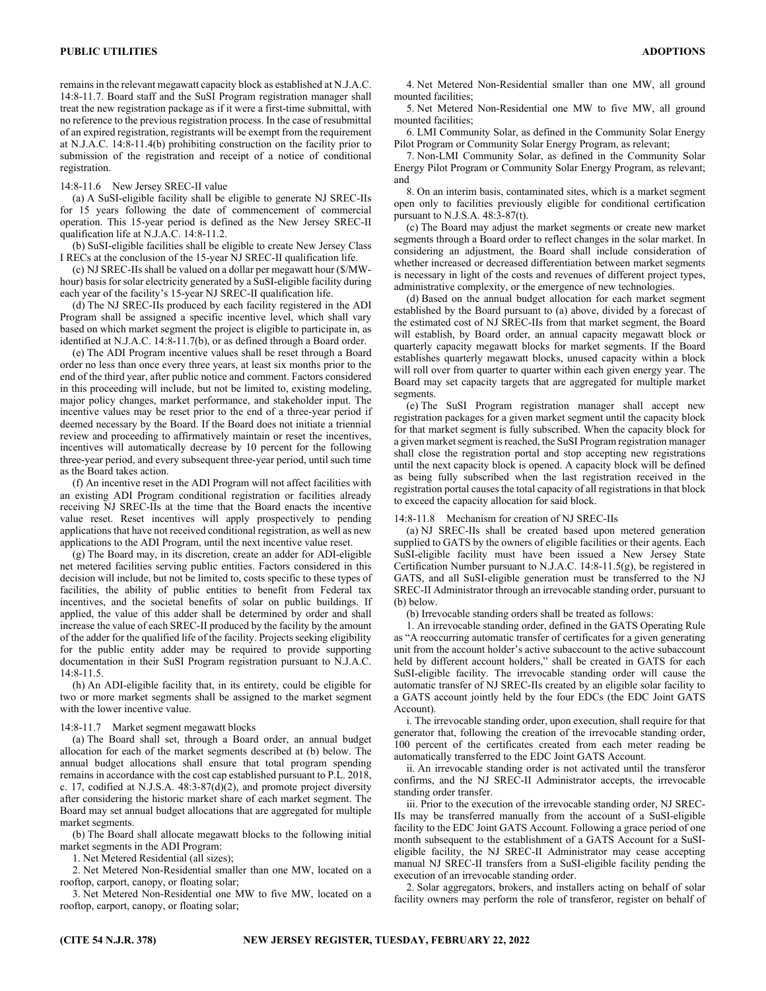remains in the relevant megawatt capacity block as established at N.J.A.C. 14:8-11.7. Board staff and the SuSI Program registration manager shall treat the new registration package as if it were a first-time submittal, with no reference to the previous registration process. In the case of resubmittal of an expired registration, registrants will be exempt from the requirement at N.J.A.C. 14:8-11.4(b) prohibiting construction on the facility prior to submission of the registration and receipt of a notice of conditional registration.

#### 14:8-11.6 New Jersey SREC-II value

(a) A SuSI-eligible facility shall be eligible to generate NJ SREC-IIs for 15 years following the date of commencement of commercial operation. This 15-year period is defined as the New Jersey SREC-II qualification life at N.J.A.C. 14:8-11.2.

(b) SuSI-eligible facilities shall be eligible to create New Jersey Class I RECs at the conclusion of the 15-year NJ SREC-II qualification life.

(c) NJ SREC-IIs shall be valued on a dollar per megawatt hour (\$/MWhour) basis for solar electricity generated by a SuSI-eligible facility during each year of the facility's 15-year NJ SREC-II qualification life.

(d) The NJ SREC-IIs produced by each facility registered in the ADI Program shall be assigned a specific incentive level, which shall vary based on which market segment the project is eligible to participate in, as identified at N.J.A.C. 14:8-11.7(b), or as defined through a Board order.

(e) The ADI Program incentive values shall be reset through a Board order no less than once every three years, at least six months prior to the end of the third year, after public notice and comment. Factors considered in this proceeding will include, but not be limited to, existing modeling, major policy changes, market performance, and stakeholder input. The incentive values may be reset prior to the end of a three-year period if deemed necessary by the Board. If the Board does not initiate a triennial review and proceeding to affirmatively maintain or reset the incentives, incentives will automatically decrease by 10 percent for the following three-year period, and every subsequent three-year period, until such time as the Board takes action.

(f) An incentive reset in the ADI Program will not affect facilities with an existing ADI Program conditional registration or facilities already receiving NJ SREC-IIs at the time that the Board enacts the incentive value reset. Reset incentives will apply prospectively to pending applications that have not received conditional registration, as well as new applications to the ADI Program, until the next incentive value reset.

(g) The Board may, in its discretion, create an adder for ADI-eligible net metered facilities serving public entities. Factors considered in this decision will include, but not be limited to, costs specific to these types of facilities, the ability of public entities to benefit from Federal tax incentives, and the societal benefits of solar on public buildings. If applied, the value of this adder shall be determined by order and shall increase the value of each SREC-II produced by the facility by the amount of the adder for the qualified life of the facility. Projects seeking eligibility for the public entity adder may be required to provide supporting documentation in their SuSI Program registration pursuant to N.J.A.C. 14:8-11.5.

(h) An ADI-eligible facility that, in its entirety, could be eligible for two or more market segments shall be assigned to the market segment with the lower incentive value.

#### 14:8-11.7 Market segment megawatt blocks

(a) The Board shall set, through a Board order, an annual budget allocation for each of the market segments described at (b) below. The annual budget allocations shall ensure that total program spending remains in accordance with the cost cap established pursuant to P.L. 2018, c. 17, codified at N.J.S.A. 48:3-87(d)(2), and promote project diversity after considering the historic market share of each market segment. The Board may set annual budget allocations that are aggregated for multiple market segments.

(b) The Board shall allocate megawatt blocks to the following initial market segments in the ADI Program:

1. Net Metered Residential (all sizes);

2. Net Metered Non-Residential smaller than one MW, located on a rooftop, carport, canopy, or floating solar;

3. Net Metered Non-Residential one MW to five MW, located on a rooftop, carport, canopy, or floating solar;

4. Net Metered Non-Residential smaller than one MW, all ground mounted facilities;

5. Net Metered Non-Residential one MW to five MW, all ground mounted facilities;

6. LMI Community Solar, as defined in the Community Solar Energy Pilot Program or Community Solar Energy Program, as relevant;

7. Non-LMI Community Solar, as defined in the Community Solar Energy Pilot Program or Community Solar Energy Program, as relevant; and

8. On an interim basis, contaminated sites, which is a market segment open only to facilities previously eligible for conditional certification pursuant to N.J.S.A. 48:3-87(t).

(c) The Board may adjust the market segments or create new market segments through a Board order to reflect changes in the solar market. In considering an adjustment, the Board shall include consideration of whether increased or decreased differentiation between market segments is necessary in light of the costs and revenues of different project types, administrative complexity, or the emergence of new technologies.

(d) Based on the annual budget allocation for each market segment established by the Board pursuant to (a) above, divided by a forecast of the estimated cost of NJ SREC-IIs from that market segment, the Board will establish, by Board order, an annual capacity megawatt block or quarterly capacity megawatt blocks for market segments. If the Board establishes quarterly megawatt blocks, unused capacity within a block will roll over from quarter to quarter within each given energy year. The Board may set capacity targets that are aggregated for multiple market segments.

(e) The SuSI Program registration manager shall accept new registration packages for a given market segment until the capacity block for that market segment is fully subscribed. When the capacity block for a given market segment is reached, the SuSI Program registration manager shall close the registration portal and stop accepting new registrations until the next capacity block is opened. A capacity block will be defined as being fully subscribed when the last registration received in the registration portal causes the total capacity of all registrations in that block to exceed the capacity allocation for said block.

#### 14:8-11.8 Mechanism for creation of NJ SREC-IIs

(a) NJ SREC-IIs shall be created based upon metered generation supplied to GATS by the owners of eligible facilities or their agents. Each SuSI-eligible facility must have been issued a New Jersey State Certification Number pursuant to N.J.A.C. 14:8-11.5(g), be registered in GATS, and all SuSI-eligible generation must be transferred to the NJ SREC-II Administrator through an irrevocable standing order, pursuant to (b) below.

(b) Irrevocable standing orders shall be treated as follows:

1. An irrevocable standing order, defined in the GATS Operating Rule as "A reoccurring automatic transfer of certificates for a given generating unit from the account holder's active subaccount to the active subaccount held by different account holders," shall be created in GATS for each SuSI-eligible facility. The irrevocable standing order will cause the automatic transfer of NJ SREC-IIs created by an eligible solar facility to a GATS account jointly held by the four EDCs (the EDC Joint GATS Account).

i. The irrevocable standing order, upon execution, shall require for that generator that, following the creation of the irrevocable standing order, 100 percent of the certificates created from each meter reading be automatically transferred to the EDC Joint GATS Account.

ii. An irrevocable standing order is not activated until the transferor confirms, and the NJ SREC-II Administrator accepts, the irrevocable standing order transfer.

iii. Prior to the execution of the irrevocable standing order, NJ SREC-IIs may be transferred manually from the account of a SuSI-eligible facility to the EDC Joint GATS Account. Following a grace period of one month subsequent to the establishment of a GATS Account for a SuSIeligible facility, the NJ SREC-II Administrator may cease accepting manual NJ SREC-II transfers from a SuSI-eligible facility pending the execution of an irrevocable standing order.

2. Solar aggregators, brokers, and installers acting on behalf of solar facility owners may perform the role of transferor, register on behalf of